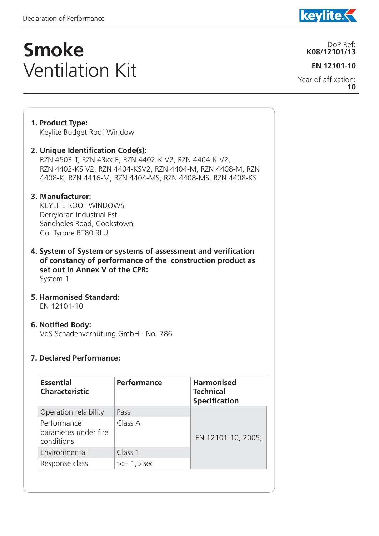**1. Product Type:** 

j

## **Smoke**  Ventilation Kit

Keylite Budget Roof Window

**2. Unique Identification Code(s):** 

### **EN 12101-10**

Year of affixation: **10**

### RZN 4503-T, RZN 43xx-E, RZN 4402-K V2, RZN 4404-K V2, RZN 4402-KS V2, RZN 4404-KSV2, RZN 4404-M, RZN 4408-M, RZN 4408-K, RZN 4416-M, RZN 4404-MS, RZN 4408-MS, RZN 4408-KS **3. Manufacturer:**  KEYLITE ROOF WINDOWS Derryloran Industrial Est. Sandholes Road, Cookstown Co. Tyrone BT80 9LU **4. System of System or systems of assessment and verification**

**of constancy of performance of the construction product as set out in Annex V of the CPR:** System 1

**5. Harmonised Standard:** EN 12101-10

#### **6. Notified Body:**

VdS Schadenverhütung GmbH - No. 786

#### **7. Declared Performance:**

| <b>Performance</b> | <b>Harmonised</b><br><b>Technical</b><br><b>Specification</b> |
|--------------------|---------------------------------------------------------------|
| Pass               |                                                               |
| Class A            | EN 12101-10, 2005;                                            |
| Class 1            |                                                               |
| $t = 1,5$ sec      |                                                               |
|                    |                                                               |



**kevlite** 

#### DoP Ref: **K08/12101/13**